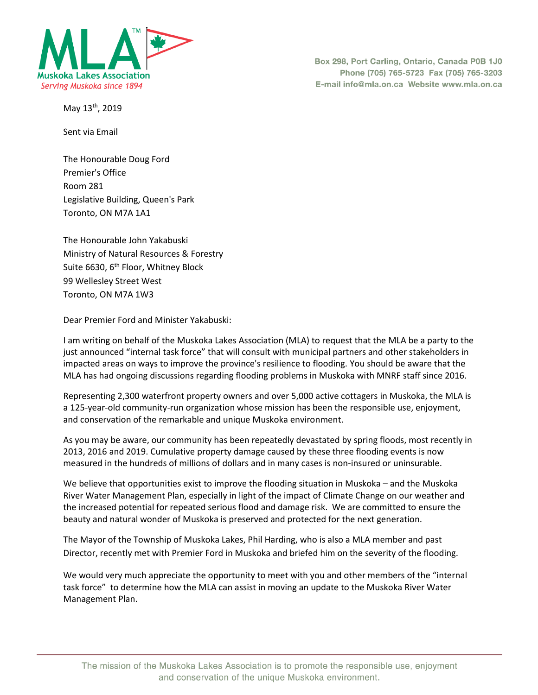

Box 298, Port Carling, Ontario, Canada P0B 1J0 Phone (705) 765-5723 Fax (705) 765-3203 E-mail info@mla.on.ca Website www.mla.on.ca

May 13<sup>th</sup>, 2019

Sent via Email

The Honourable Doug Ford Premier's Office Room 281 Legislative Building, Queen's Park Toronto, ON M7A 1A1

The Honourable John Yakabuski Ministry of Natural Resources & Forestry Suite 6630, 6<sup>th</sup> Floor, Whitney Block 99 Wellesley Street West Toronto, ON M7A 1W3

Dear Premier Ford and Minister Yakabuski:

I am writing on behalf of the Muskoka Lakes Association (MLA) to request that the MLA be a party to the just announced "internal task force" that will consult with municipal partners and other stakeholders in impacted areas on ways to improve the province's resilience to flooding. You should be aware that the MLA has had ongoing discussions regarding flooding problems in Muskoka with MNRF staff since 2016.

Representing 2,300 waterfront property owners and over 5,000 active cottagers in Muskoka, the MLA is a 125-year-old community-run organization whose mission has been the responsible use, enjoyment, and conservation of the remarkable and unique Muskoka environment.

As you may be aware, our community has been repeatedly devastated by spring floods, most recently in 2013, 2016 and 2019. Cumulative property damage caused by these three flooding events is now measured in the hundreds of millions of dollars and in many cases is non-insured or uninsurable.

We believe that opportunities exist to improve the flooding situation in Muskoka – and the Muskoka River Water Management Plan, especially in light of the impact of Climate Change on our weather and the increased potential for repeated serious flood and damage risk. We are committed to ensure the beauty and natural wonder of Muskoka is preserved and protected for the next generation.

The Mayor of the Township of Muskoka Lakes, Phil Harding, who is also a MLA member and past Director, recently met with Premier Ford in Muskoka and briefed him on the severity of the flooding.

We would very much appreciate the opportunity to meet with you and other members of the "internal task force" to determine how the MLA can assist in moving an update to the Muskoka River Water Management Plan.